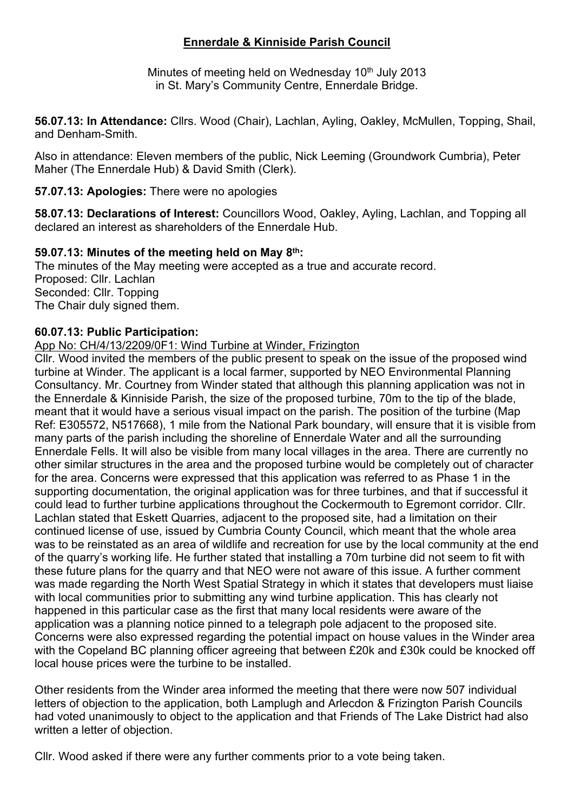# **Ennerdale & Kinniside Parish Council**

Minutes of meeting held on Wednesday 10<sup>th</sup> July 2013 in St. Mary's Community Centre, Ennerdale Bridge.

**56.07.13: In Attendance:** Cllrs. Wood (Chair), Lachlan, Ayling, Oakley, McMullen, Topping, Shail, and Denham-Smith.

Also in attendance: Eleven members of the public, Nick Leeming (Groundwork Cumbria), Peter Maher (The Ennerdale Hub) & David Smith (Clerk).

**57.07.13: Apologies:** There were no apologies

**58.07.13: Declarations of Interest:** Councillors Wood, Oakley, Ayling, Lachlan, and Topping all declared an interest as shareholders of the Ennerdale Hub.

#### **59.07.13: Minutes of the meeting held on May 8th:**

The minutes of the May meeting were accepted as a true and accurate record. Proposed: Cllr. Lachlan Seconded: Cllr. Topping The Chair duly signed them.

# **60.07.13: Public Participation:**

App No: CH/4/13/2209/0F1: Wind Turbine at Winder, Frizington

Cllr. Wood invited the members of the public present to speak on the issue of the proposed wind turbine at Winder. The applicant is a local farmer, supported by NEO Environmental Planning Consultancy. Mr. Courtney from Winder stated that although this planning application was not in the Ennerdale & Kinniside Parish, the size of the proposed turbine, 70m to the tip of the blade, meant that it would have a serious visual impact on the parish. The position of the turbine (Map Ref: E305572, N517668), 1 mile from the National Park boundary, will ensure that it is visible from many parts of the parish including the shoreline of Ennerdale Water and all the surrounding Ennerdale Fells. It will also be visible from many local villages in the area. There are currently no other similar structures in the area and the proposed turbine would be completely out of character for the area. Concerns were expressed that this application was referred to as Phase 1 in the supporting documentation, the original application was for three turbines, and that if successful it could lead to further turbine applications throughout the Cockermouth to Egremont corridor. Cllr. Lachlan stated that Eskett Quarries, adjacent to the proposed site, had a limitation on their continued license of use, issued by Cumbria County Council, which meant that the whole area was to be reinstated as an area of wildlife and recreation for use by the local community at the end of the quarry's working life. He further stated that installing a 70m turbine did not seem to fit with these future plans for the quarry and that NEO were not aware of this issue. A further comment was made regarding the North West Spatial Strategy in which it states that developers must liaise with local communities prior to submitting any wind turbine application. This has clearly not happened in this particular case as the first that many local residents were aware of the application was a planning notice pinned to a telegraph pole adjacent to the proposed site. Concerns were also expressed regarding the potential impact on house values in the Winder area with the Copeland BC planning officer agreeing that between £20k and £30k could be knocked off local house prices were the turbine to be installed.

Other residents from the Winder area informed the meeting that there were now 507 individual letters of objection to the application, both Lamplugh and Arlecdon & Frizington Parish Councils had voted unanimously to object to the application and that Friends of The Lake District had also written a letter of objection.

Cllr. Wood asked if there were any further comments prior to a vote being taken.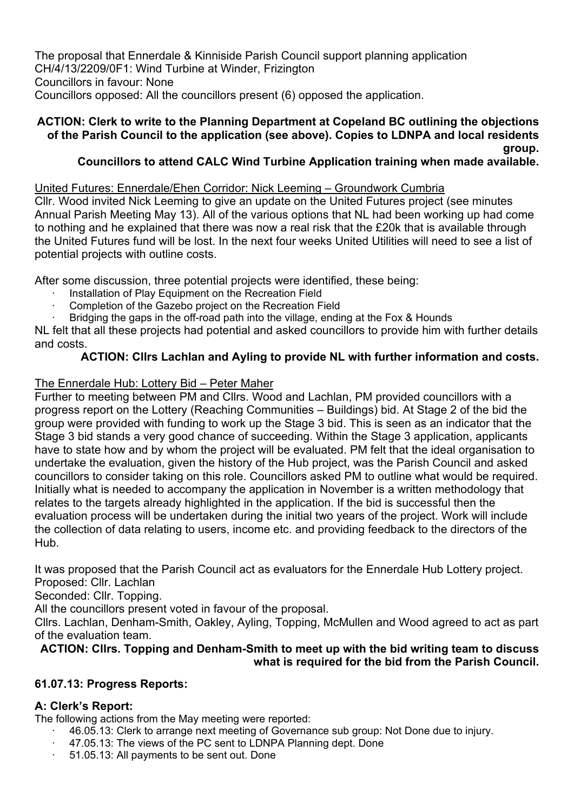The proposal that Ennerdale & Kinniside Parish Council support planning application CH/4/13/2209/0F1: Wind Turbine at Winder, Frizington Councillors in favour: None Councillors opposed: All the councillors present (6) opposed the application.

# **ACTION: Clerk to write to the Planning Department at Copeland BC outlining the objections of the Parish Council to the application (see above). Copies to LDNPA and local residents**

**group.**

# **Councillors to attend CALC Wind Turbine Application training when made available.**

# United Futures: Ennerdale/Ehen Corridor: Nick Leeming – Groundwork Cumbria

Cllr. Wood invited Nick Leeming to give an update on the United Futures project (see minutes Annual Parish Meeting May 13). All of the various options that NL had been working up had come to nothing and he explained that there was now a real risk that the £20k that is available through the United Futures fund will be lost. In the next four weeks United Utilities will need to see a list of potential projects with outline costs.

After some discussion, three potential projects were identified, these being:

- ∙ Installation of Play Equipment on the Recreation Field
- ∙ Completion of the Gazebo project on the Recreation Field
- Bridging the gaps in the off-road path into the village, ending at the Fox & Hounds

NL felt that all these projects had potential and asked councillors to provide him with further details and costs.

# **ACTION: Cllrs Lachlan and Ayling to provide NL with further information and costs.**

# The Ennerdale Hub: Lottery Bid – Peter Maher

Further to meeting between PM and Cllrs. Wood and Lachlan, PM provided councillors with a progress report on the Lottery (Reaching Communities – Buildings) bid. At Stage 2 of the bid the group were provided with funding to work up the Stage 3 bid. This is seen as an indicator that the Stage 3 bid stands a very good chance of succeeding. Within the Stage 3 application, applicants have to state how and by whom the project will be evaluated. PM felt that the ideal organisation to undertake the evaluation, given the history of the Hub project, was the Parish Council and asked councillors to consider taking on this role. Councillors asked PM to outline what would be required. Initially what is needed to accompany the application in November is a written methodology that relates to the targets already highlighted in the application. If the bid is successful then the evaluation process will be undertaken during the initial two years of the project. Work will include the collection of data relating to users, income etc. and providing feedback to the directors of the Hub.

It was proposed that the Parish Council act as evaluators for the Ennerdale Hub Lottery project. Proposed: Cllr. Lachlan

Seconded: Cllr. Topping.

All the councillors present voted in favour of the proposal.

Cllrs. Lachlan, Denham-Smith, Oakley, Ayling, Topping, McMullen and Wood agreed to act as part of the evaluation team.

# **ACTION: Cllrs. Topping and Denham-Smith to meet up with the bid writing team to discuss what is required for the bid from the Parish Council.**

# **61.07.13: Progress Reports:**

# **A: Clerk's Report:**

The following actions from the May meeting were reported:

- ∙ 46.05.13: Clerk to arrange next meeting of Governance sub group: Not Done due to injury.
- ∙ 47.05.13: The views of the PC sent to LDNPA Planning dept. Done
- ∙ 51.05.13: All payments to be sent out. Done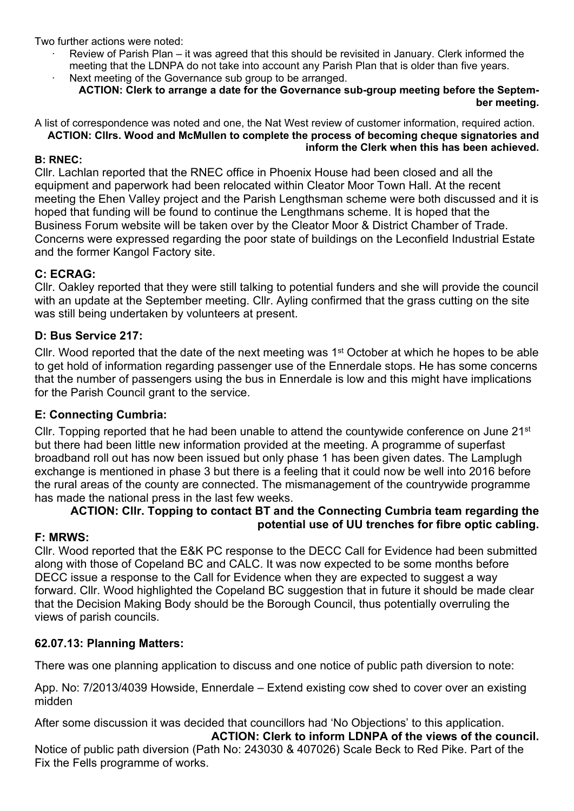Two further actions were noted:

- ∙ Review of Parish Plan it was agreed that this should be revisited in January. Clerk informed the meeting that the LDNPA do not take into account any Parish Plan that is older than five years.
- Next meeting of the Governance sub group to be arranged. **ACTION: Clerk to arrange a date for the Governance sub-group meeting before the Septem-**

#### **ber meeting.**

A list of correspondence was noted and one, the Nat West review of customer information, required action. **ACTION: Cllrs. Wood and McMullen to complete the process of becoming cheque signatories and inform the Clerk when this has been achieved.**

#### **B: RNEC:**

Cllr. Lachlan reported that the RNEC office in Phoenix House had been closed and all the equipment and paperwork had been relocated within Cleator Moor Town Hall. At the recent meeting the Ehen Valley project and the Parish Lengthsman scheme were both discussed and it is hoped that funding will be found to continue the Lengthmans scheme. It is hoped that the Business Forum website will be taken over by the Cleator Moor & District Chamber of Trade. Concerns were expressed regarding the poor state of buildings on the Leconfield Industrial Estate and the former Kangol Factory site.

# **C: ECRAG:**

Cllr. Oakley reported that they were still talking to potential funders and she will provide the council with an update at the September meeting. Cllr. Ayling confirmed that the grass cutting on the site was still being undertaken by volunteers at present.

#### **D: Bus Service 217:**

Cllr. Wood reported that the date of the next meeting was 1st October at which he hopes to be able to get hold of information regarding passenger use of the Ennerdale stops. He has some concerns that the number of passengers using the bus in Ennerdale is low and this might have implications for the Parish Council grant to the service.

#### **E: Connecting Cumbria:**

Cllr. Topping reported that he had been unable to attend the countywide conference on June 21<sup>st</sup> but there had been little new information provided at the meeting. A programme of superfast broadband roll out has now been issued but only phase 1 has been given dates. The Lamplugh exchange is mentioned in phase 3 but there is a feeling that it could now be well into 2016 before the rural areas of the county are connected. The mismanagement of the countrywide programme has made the national press in the last few weeks.

# **ACTION: Cllr. Topping to contact BT and the Connecting Cumbria team regarding the potential use of UU trenches for fibre optic cabling.**

#### **F: MRWS:**

Cllr. Wood reported that the E&K PC response to the DECC Call for Evidence had been submitted along with those of Copeland BC and CALC. It was now expected to be some months before DECC issue a response to the Call for Evidence when they are expected to suggest a way forward. Cllr. Wood highlighted the Copeland BC suggestion that in future it should be made clear that the Decision Making Body should be the Borough Council, thus potentially overruling the views of parish councils.

# **62.07.13: Planning Matters:**

There was one planning application to discuss and one notice of public path diversion to note:

App. No: 7/2013/4039 Howside, Ennerdale – Extend existing cow shed to cover over an existing midden

After some discussion it was decided that councillors had 'No Objections' to this application.

**ACTION: Clerk to inform LDNPA of the views of the council.** Notice of public path diversion (Path No: 243030 & 407026) Scale Beck to Red Pike. Part of the Fix the Fells programme of works.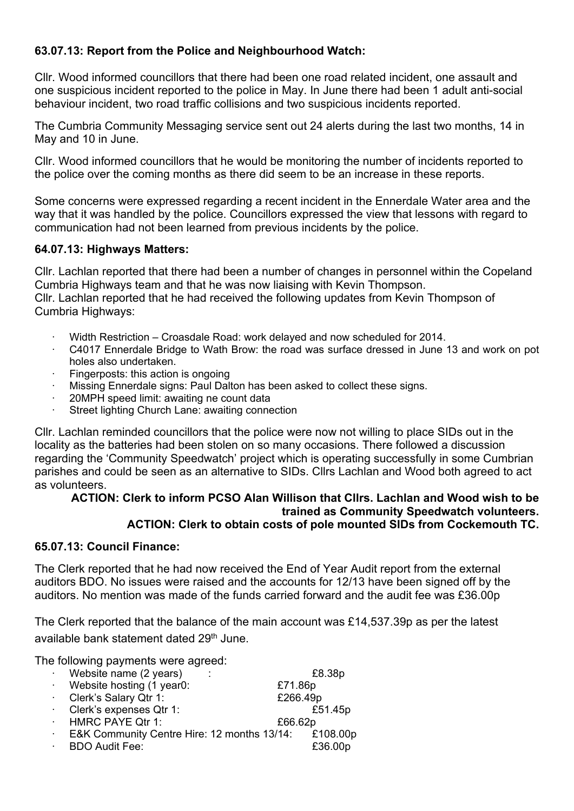# **63.07.13: Report from the Police and Neighbourhood Watch:**

Cllr. Wood informed councillors that there had been one road related incident, one assault and one suspicious incident reported to the police in May. In June there had been 1 adult anti-social behaviour incident, two road traffic collisions and two suspicious incidents reported.

The Cumbria Community Messaging service sent out 24 alerts during the last two months, 14 in May and 10 in June.

Cllr. Wood informed councillors that he would be monitoring the number of incidents reported to the police over the coming months as there did seem to be an increase in these reports.

Some concerns were expressed regarding a recent incident in the Ennerdale Water area and the way that it was handled by the police. Councillors expressed the view that lessons with regard to communication had not been learned from previous incidents by the police.

# **64.07.13: Highways Matters:**

Cllr. Lachlan reported that there had been a number of changes in personnel within the Copeland Cumbria Highways team and that he was now liaising with Kevin Thompson. Cllr. Lachlan reported that he had received the following updates from Kevin Thompson of Cumbria Highways:

- ∙ Width Restriction Croasdale Road: work delayed and now scheduled for 2014.
- ∙ C4017 Ennerdale Bridge to Wath Brow: the road was surface dressed in June 13 and work on pot holes also undertaken.
- ∙ Fingerposts: this action is ongoing
- ∙ Missing Ennerdale signs: Paul Dalton has been asked to collect these signs.
- ∙ 20MPH speed limit: awaiting ne count data
- ∙ Street lighting Church Lane: awaiting connection

Cllr. Lachlan reminded councillors that the police were now not willing to place SIDs out in the locality as the batteries had been stolen on so many occasions. There followed a discussion regarding the 'Community Speedwatch' project which is operating successfully in some Cumbrian parishes and could be seen as an alternative to SIDs. Cllrs Lachlan and Wood both agreed to act as volunteers.

#### **ACTION: Clerk to inform PCSO Alan Willison that Cllrs. Lachlan and Wood wish to be trained as Community Speedwatch volunteers. ACTION: Clerk to obtain costs of pole mounted SIDs from Cockemouth TC.**

#### **65.07.13: Council Finance:**

The Clerk reported that he had now received the End of Year Audit report from the external auditors BDO. No issues were raised and the accounts for 12/13 have been signed off by the auditors. No mention was made of the funds carried forward and the audit fee was £36.00p

The Clerk reported that the balance of the main account was £14,537.39p as per the latest available bank statement dated 29<sup>th</sup> June.

The following payments were agreed:

|        | Website name (2 years)                               |          | £8.38p  |
|--------|------------------------------------------------------|----------|---------|
| $\sim$ | Website hosting (1 year0:                            | £71.86p  |         |
|        | Clerk's Salary Qtr 1:                                | £266.49p |         |
|        | Clerk's expenses Qtr 1:                              |          | £51.45p |
| $\sim$ | HMRC PAYE Qtr 1:                                     | £66.62p  |         |
|        | E&K Community Centre Hire: 12 months 13/14: £108.00p |          |         |
|        | <b>BDO Audit Fee:</b>                                |          | £36.00p |
|        |                                                      |          |         |